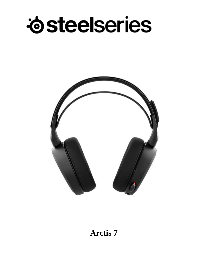



## **Arctis 7**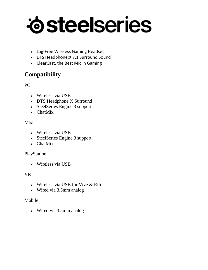## *idsteelseries*

- Lag-Free Wireless Gaming Headset
- DTS Headphone:X 7.1 Surround Sound
- ClearCast, the Best Mic in Gaming

## **Compatibility**

## PC

- Wireless via USB
- DTS Headphone:X Surround
- SteelSeries Engine 3 support
- ChatMix

#### Mac

- Wireless via USB
- SteelSeries Engine 3 support
- ChatMix

#### PlayStation

Wireless via USB

## VR

- Wireless via USB for Vive & Rift
- Wired via 3.5mm analog

#### Mobile

Wired via 3.5mm analog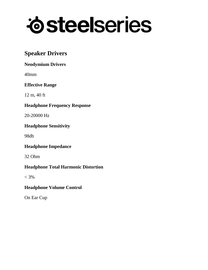## *i*steelseries

## **Speaker Drivers**

## **Neodymium Drivers**

40mm

## **Effective Range**

12 m, 40 ft

## **Headphone Frequency Response**

20-20000 Hz

## **Headphone Sensitivity**

98db

## **Headphone Impedance**

32 Ohm

## **Headphone Total Harmonic Distortion**

 $< 3\%$ 

## **Headphone Volume Control**

On Ear Cup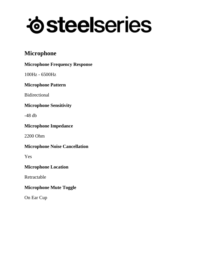# *i*steelseries

## **Microphone**

## **Microphone Frequency Response**

100Hz - 6500Hz

## **Microphone Pattern**

Bidirectional

## **Microphone Sensitivity**

-48 db

## **Microphone Impedance**

2200 Ohm

## **Microphone Noise Cancellation**

Yes

## **Microphone Location**

Retractable

## **Microphone Mute Toggle**

On Ear Cup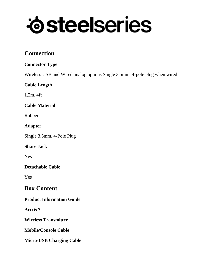# *i*steelseries

## **Connection**

## **Connector Type**

Wireless USB and Wired analog options Single 3.5mm, 4-pole plug when wired

## **Cable Length**

1.2m, 4ft

## **Cable Material**

Rubber

## **Adapter**

Single 3.5mm, 4-Pole Plug

## **Share Jack**

Yes

## **Detachable Cable**

Yes

## **Box Content**

## **Product Information Guide**

**Arctis 7**

**Wireless Transmitter**

**Mobile/Console Cable**

**Micro-USB Charging Cable**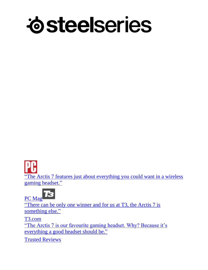

"The Arctis 7 features just about everything you could want in a wireless gaming headset."

73 PC Mag

"There can be only one winner and for us at T3, the Arctis 7 is something else."

T3.com

"The Arctis 7 is our favourite gaming headset. Why? Because it's everything a good headset should be."

Trusted Reviews